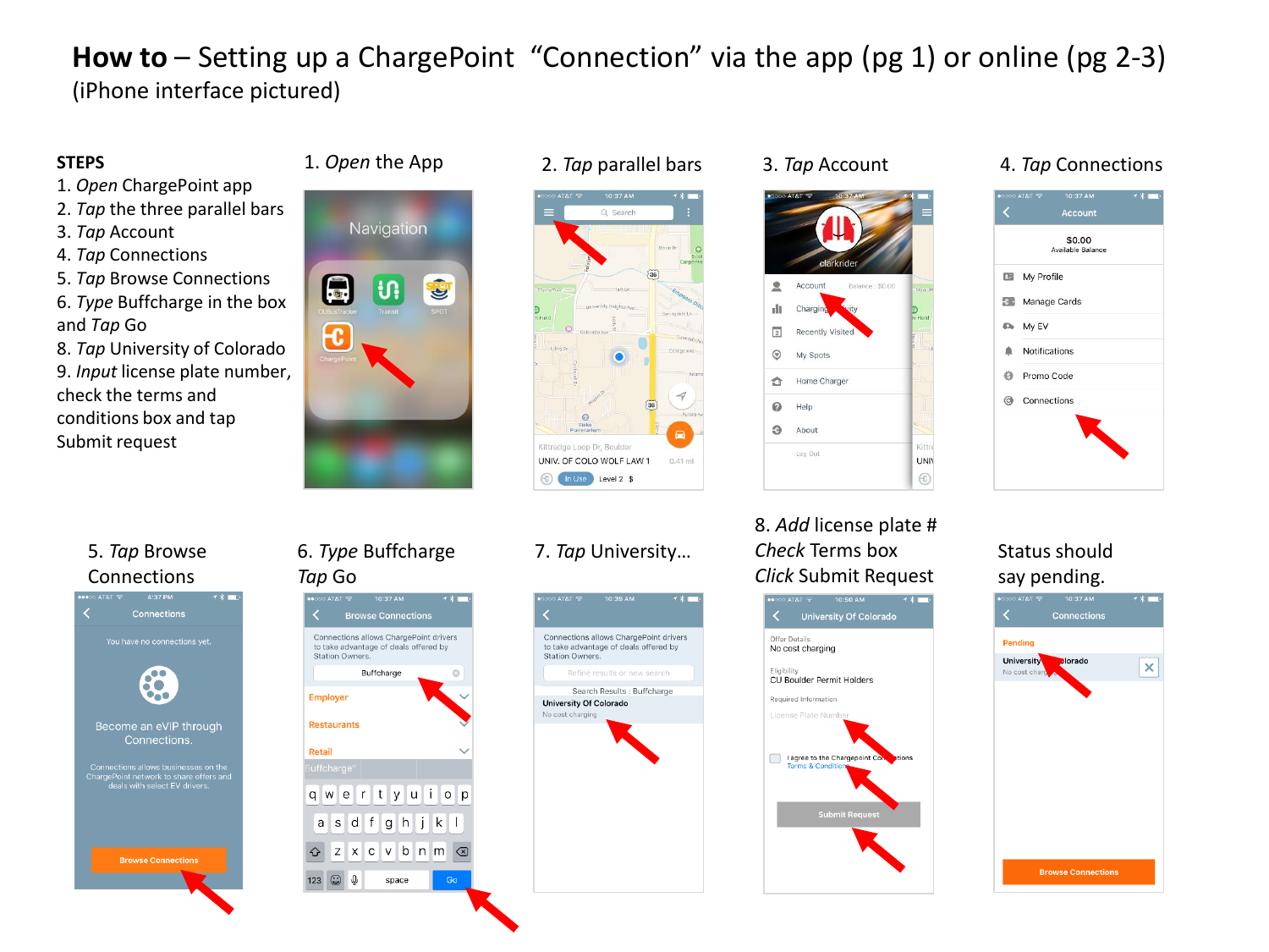# **How to** – Setting up a ChargePoint "Connection" via the app (pg 1) or online (pg 2-3) (iPhone interface pictured)

### **STEPS**

- 1. *Open* ChargePoint app
- 2. *Tap* the three parallel bars
- 3. *Tap* Account
- 4. *Tap* Connections
- 5. *Tap* Browse Connections
- 6. *Type* Buffcharge in the box and *Tap* Go
- 8. *Tap* University of Colorado 9. *Input* license plate number, check the terms and conditions box and tap Submit request







## 8. *Add* license plate # *Check* Terms box *Click* Submit Request



### 1. *Open* the App 2. *Tap* parallel bars 3. *Tap* Account 4. *Tap* Connections



### Status should say pending.



## 5. *Tap* Browse Connections



### 6. *Type* Buffcharge *Tap* Go



## 7. *Tap* University…

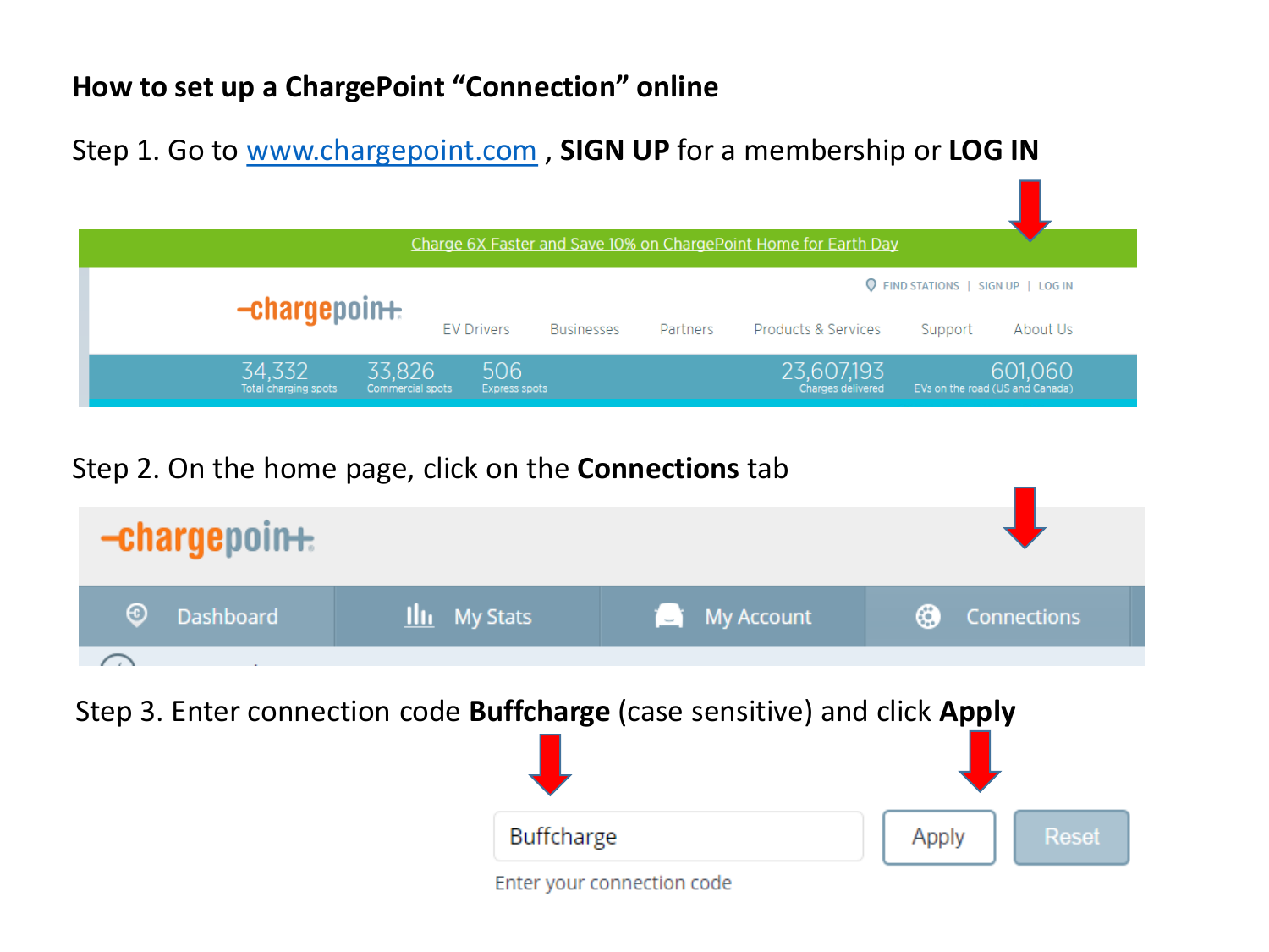# **How to set up a ChargePoint "Connection" online**

Step 1. Go to [www.chargepoint.com](http://www.chargepoint.com/) , **SIGN UP** for a membership or **LOG IN**

| Charge 6X Faster and Save 10% on ChargePoint Home for Earth Day |                            |                      |                   |          |                                 |                                                                  |  |
|-----------------------------------------------------------------|----------------------------|----------------------|-------------------|----------|---------------------------------|------------------------------------------------------------------|--|
|                                                                 | $-$ chargepoin $+$         | <b>EV Drivers</b>    | <b>Businesses</b> | Partners | Products & Services             | <b>Q</b> FIND STATIONS   SIGN UP   LOG IN<br>About Us<br>Support |  |
| 34,332<br>Total charging spots                                  | 33,826<br>Commercial spots | 506<br>Express spots |                   |          | 23,607,193<br>Charges delivered | 601,060<br>EVs on the road (US and Canada)                       |  |

# Step 2. On the home page, click on the **Connections** tab